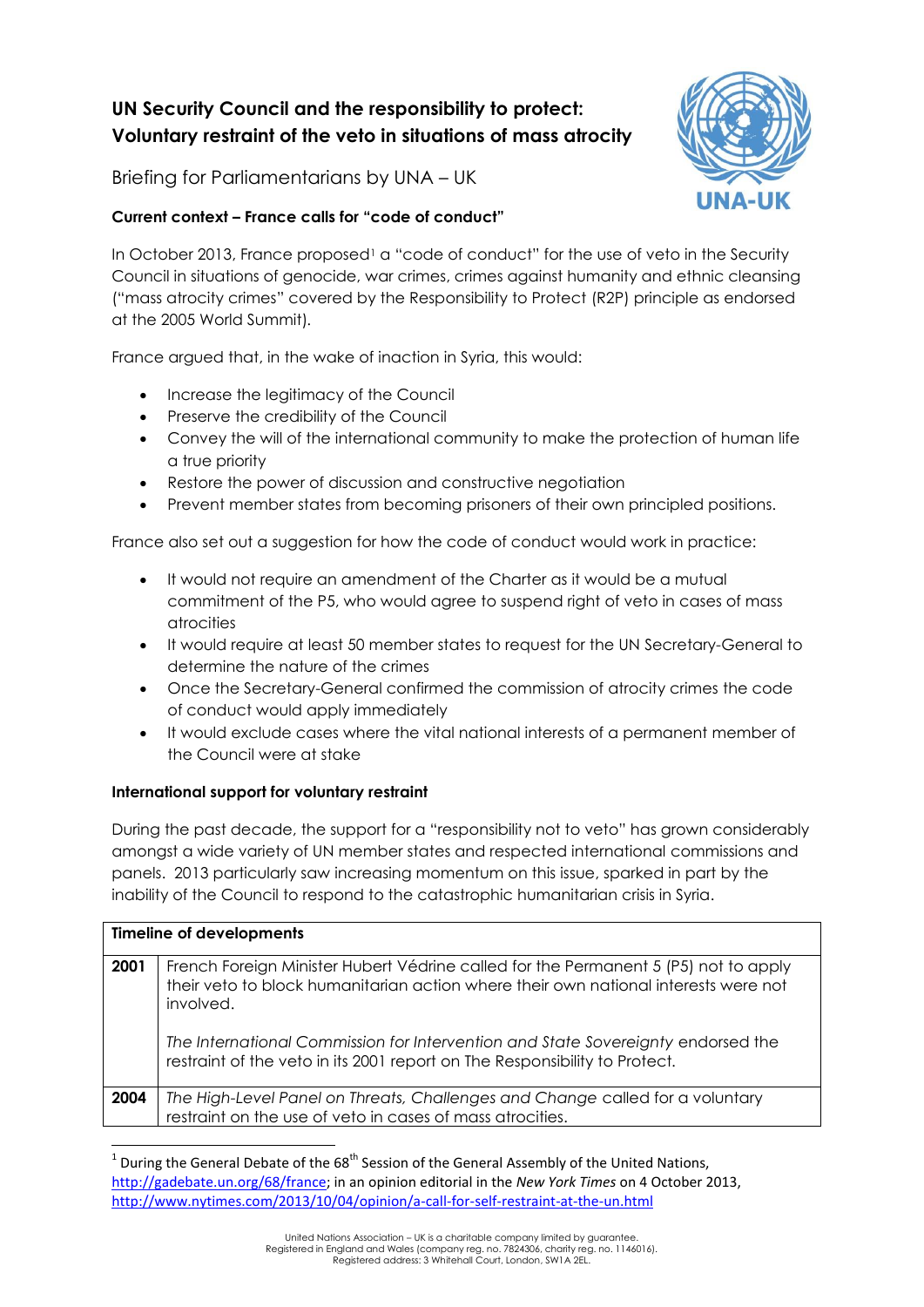# **UN Security Council and the responsibility to protect: Voluntary restraint of the veto in situations of mass atrocity**

Briefing for Parliamentarians by UNA – UK

### **Current context – France calls for "code of conduct"**

In October 2013, France proposed<sup>1</sup> a "code of conduct" for the use of veto in the Security Council in situations of genocide, war crimes, crimes against humanity and ethnic cleansing ("mass atrocity crimes" covered by the Responsibility to Protect (R2P) principle as endorsed at the 2005 World Summit)*.*

France argued that, in the wake of inaction in Syria, this would:

- Increase the legitimacy of the Council
- Preserve the credibility of the Council
- Convey the will of the international community to make the protection of human life a true priority
- Restore the power of discussion and constructive negotiation
- Prevent member states from becoming prisoners of their own principled positions.

France also set out a suggestion for how the code of conduct would work in practice:

- It would not require an amendment of the Charter as it would be a mutual commitment of the P5, who would agree to suspend right of veto in cases of mass atrocities
- It would require at least 50 member states to request for the UN Secretary-General to determine the nature of the crimes
- Once the Secretary-General confirmed the commission of atrocity crimes the code of conduct would apply immediately
- It would exclude cases where the vital national interests of a permanent member of the Council were at stake

## **International support for voluntary restraint**

**.** 

During the past decade, the support for a "responsibility not to veto" has grown considerably amongst a wide variety of UN member states and respected international commissions and panels. 2013 particularly saw increasing momentum on this issue, sparked in part by the inability of the Council to respond to the catastrophic humanitarian crisis in Syria.

| <b>Timeline of developments</b> |                                                                                                                                                                                                                                                                                                                                                           |
|---------------------------------|-----------------------------------------------------------------------------------------------------------------------------------------------------------------------------------------------------------------------------------------------------------------------------------------------------------------------------------------------------------|
| 2001                            | French Foreign Minister Hubert Védrine called for the Permanent 5 (P5) not to apply<br>their veto to block humanitarian action where their own national interests were not<br>involved.<br>The International Commission for Intervention and State Sovereignty endorsed the<br>restraint of the veto in its 2001 report on The Responsibility to Protect. |
| 2004                            | The High-Level Panel on Threats, Challenges and Change called for a voluntary<br>restraint on the use of veto in cases of mass atrocities.                                                                                                                                                                                                                |

<sup>1</sup> During the General Debate of the 68<sup>th</sup> Session of the General Assembly of the United Nations, [http://gadebate.un.org/68/france;](http://gadebate.un.org/68/france) in an opinion editorial in the *New York Times* on 4 October 2013, <http://www.nytimes.com/2013/10/04/opinion/a-call-for-self-restraint-at-the-un.html>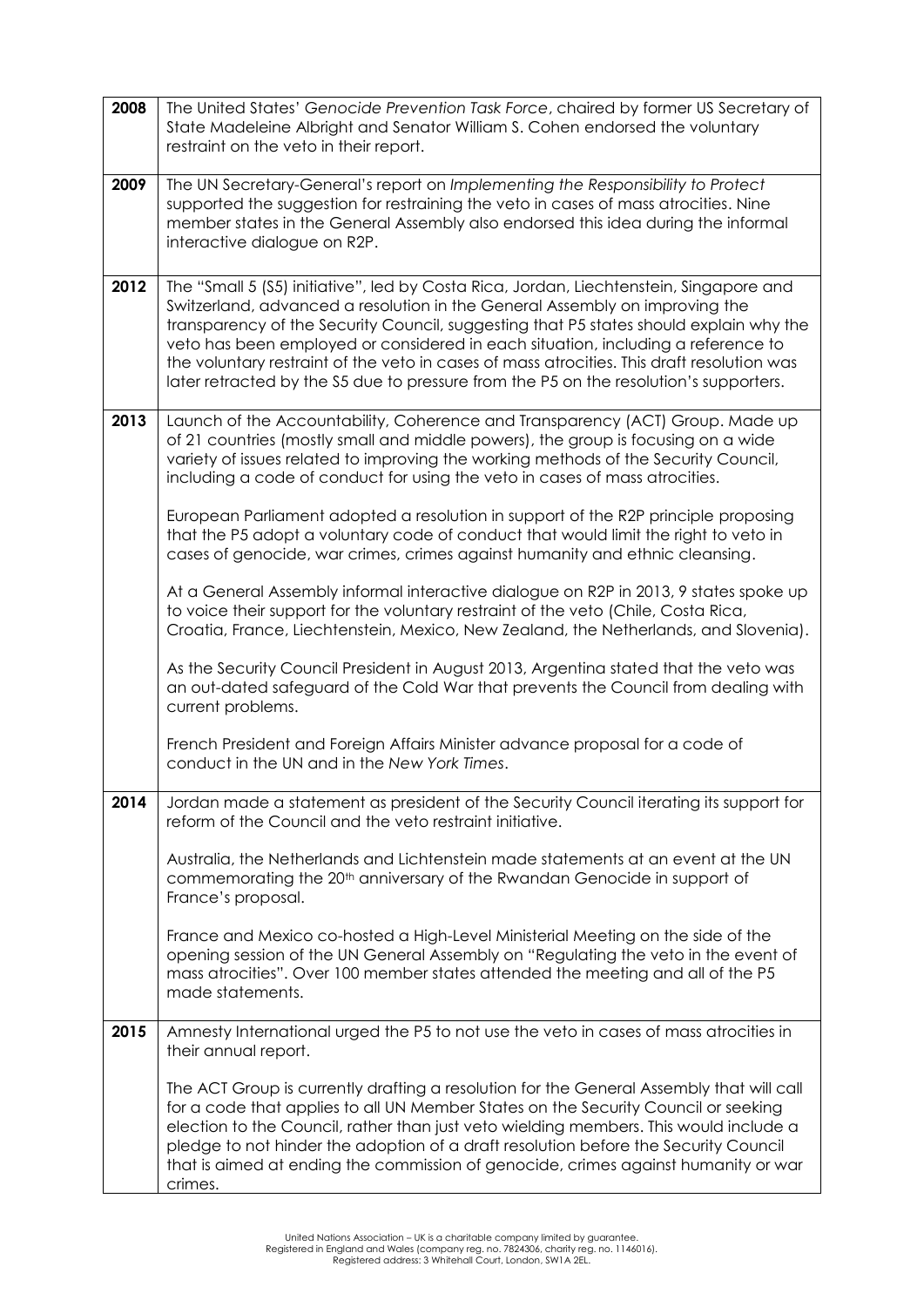| 2008 | The United States' Genocide Prevention Task Force, chaired by former US Secretary of<br>State Madeleine Albright and Senator William S. Cohen endorsed the voluntary<br>restraint on the veto in their report.                                                                                                                                                                                                                                                                                                                             |
|------|--------------------------------------------------------------------------------------------------------------------------------------------------------------------------------------------------------------------------------------------------------------------------------------------------------------------------------------------------------------------------------------------------------------------------------------------------------------------------------------------------------------------------------------------|
| 2009 | The UN Secretary-General's report on Implementing the Responsibility to Protect<br>supported the suggestion for restraining the veto in cases of mass atrocities. Nine<br>member states in the General Assembly also endorsed this idea during the informal<br>interactive dialogue on R2P.                                                                                                                                                                                                                                                |
| 2012 | The "Small 5 (S5) initiative", led by Costa Rica, Jordan, Liechtenstein, Singapore and<br>Switzerland, advanced a resolution in the General Assembly on improving the<br>transparency of the Security Council, suggesting that P5 states should explain why the<br>veto has been employed or considered in each situation, including a reference to<br>the voluntary restraint of the veto in cases of mass atrocities. This draft resolution was<br>later retracted by the S5 due to pressure from the P5 on the resolution's supporters. |
| 2013 | Launch of the Accountability, Coherence and Transparency (ACT) Group. Made up<br>of 21 countries (mostly small and middle powers), the group is focusing on a wide<br>variety of issues related to improving the working methods of the Security Council,<br>including a code of conduct for using the veto in cases of mass atrocities.                                                                                                                                                                                                   |
|      | European Parliament adopted a resolution in support of the R2P principle proposing<br>that the P5 adopt a voluntary code of conduct that would limit the right to veto in<br>cases of genocide, war crimes, crimes against humanity and ethnic cleansing.                                                                                                                                                                                                                                                                                  |
|      | At a General Assembly informal interactive dialogue on R2P in 2013, 9 states spoke up<br>to voice their support for the voluntary restraint of the veto (Chile, Costa Rica,<br>Croatia, France, Liechtenstein, Mexico, New Zealand, the Netherlands, and Slovenia).                                                                                                                                                                                                                                                                        |
|      | As the Security Council President in August 2013, Argentina stated that the veto was<br>an out-dated safeguard of the Cold War that prevents the Council from dealing with<br>current problems.                                                                                                                                                                                                                                                                                                                                            |
|      | French President and Foreign Affairs Minister advance proposal for a code of<br>conduct in the UN and in the New York Times.                                                                                                                                                                                                                                                                                                                                                                                                               |
| 2014 | Jordan made a statement as president of the Security Council iterating its support for<br>reform of the Council and the veto restraint initiative.                                                                                                                                                                                                                                                                                                                                                                                         |
|      | Australia, the Netherlands and Lichtenstein made statements at an event at the UN<br>commemorating the 20 <sup>th</sup> anniversary of the Rwandan Genocide in support of<br>France's proposal.                                                                                                                                                                                                                                                                                                                                            |
|      | France and Mexico co-hosted a High-Level Ministerial Meeting on the side of the<br>opening session of the UN General Assembly on "Regulating the veto in the event of<br>mass atrocities". Over 100 member states attended the meeting and all of the P5<br>made statements.                                                                                                                                                                                                                                                               |
| 2015 | Amnesty International urged the P5 to not use the veto in cases of mass atrocities in<br>their annual report.                                                                                                                                                                                                                                                                                                                                                                                                                              |
|      | The ACT Group is currently drafting a resolution for the General Assembly that will call<br>for a code that applies to all UN Member States on the Security Council or seeking<br>election to the Council, rather than just veto wielding members. This would include a<br>pledge to not hinder the adoption of a draft resolution before the Security Council<br>that is aimed at ending the commission of genocide, crimes against humanity or war<br>crimes.                                                                            |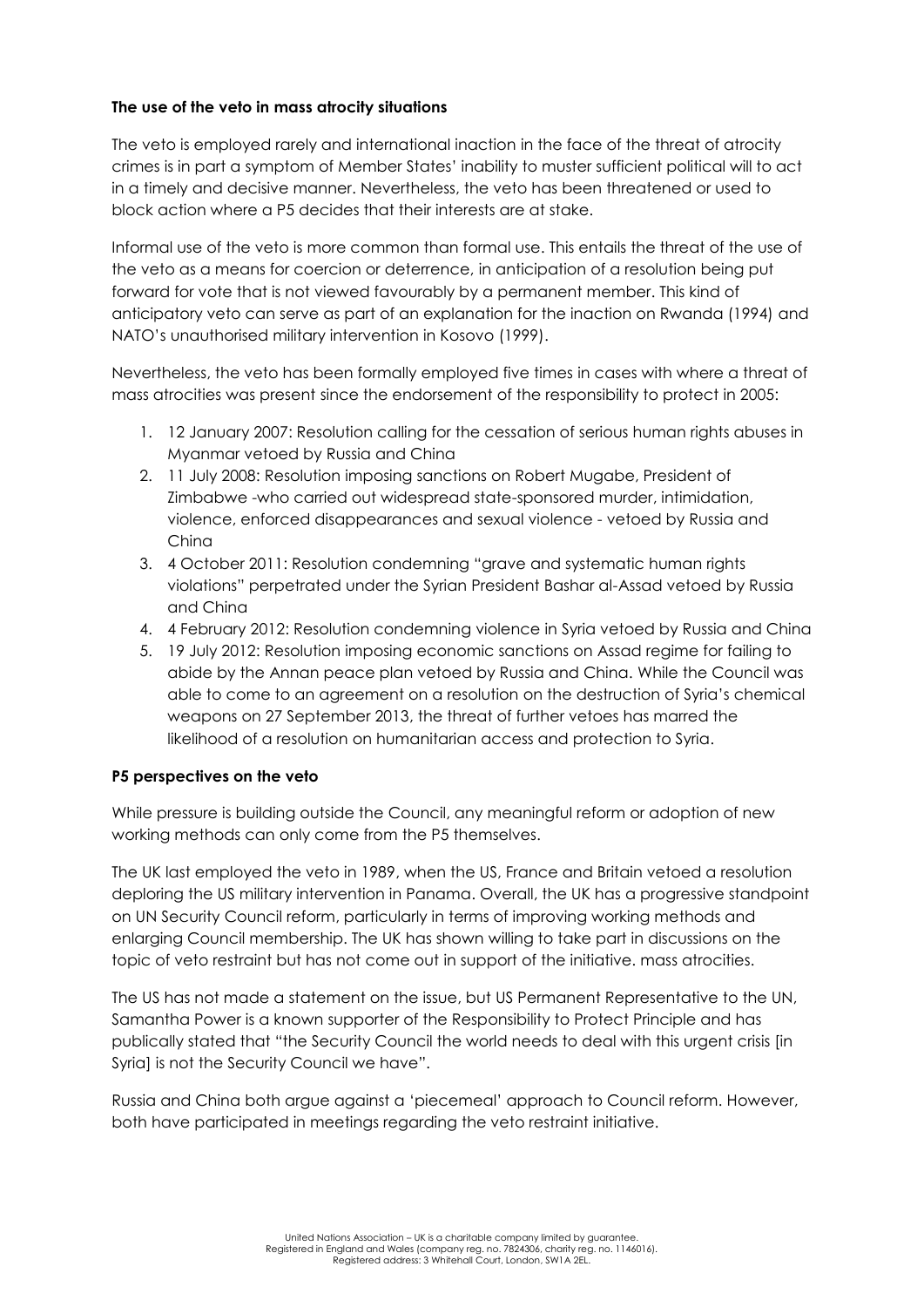### **The use of the veto in mass atrocity situations**

The veto is employed rarely and international inaction in the face of the threat of atrocity crimes is in part a symptom of Member States" inability to muster sufficient political will to act in a timely and decisive manner. Nevertheless, the veto has been threatened or used to block action where a P5 decides that their interests are at stake.

Informal use of the veto is more common than formal use. This entails the threat of the use of the veto as a means for coercion or deterrence, in anticipation of a resolution being put forward for vote that is not viewed favourably by a permanent member. This kind of anticipatory veto can serve as part of an explanation for the inaction on Rwanda (1994) and NATO"s unauthorised military intervention in Kosovo (1999).

Nevertheless, the veto has been formally employed five times in cases with where a threat of mass atrocities was present since the endorsement of the responsibility to protect in 2005:

- 1. 12 January 2007: Resolution calling for the cessation of serious human rights abuses in Myanmar vetoed by Russia and China
- 2. 11 July 2008: Resolution imposing sanctions on Robert Mugabe, President of Zimbabwe -who carried out widespread state-sponsored murder, intimidation, violence, enforced disappearances and sexual violence - vetoed by Russia and China
- 3. 4 October 2011: Resolution condemning "grave and systematic human rights violations" perpetrated under the Syrian President Bashar al-Assad vetoed by Russia and China
- 4. 4 February 2012: Resolution condemning violence in Syria vetoed by Russia and China
- 5. 19 July 2012: Resolution imposing economic sanctions on Assad regime for failing to abide by the Annan peace plan vetoed by Russia and China. While the Council was able to come to an agreement on a resolution on the destruction of Syria"s chemical weapons on 27 September 2013, the threat of further vetoes has marred the likelihood of a resolution on humanitarian access and protection to Syria.

### **P5 perspectives on the veto**

While pressure is building outside the Council, any meaningful reform or adoption of new working methods can only come from the P5 themselves.

The UK last employed the veto in 1989, when the US, France and Britain vetoed a resolution deploring the US military intervention in Panama. Overall, the UK has a progressive standpoint on UN Security Council reform, particularly in terms of improving working methods and enlarging Council membership. The UK has shown willing to take part in discussions on the topic of veto restraint but has not come out in support of the initiative. mass atrocities.

The US has not made a statement on the issue, but US Permanent Representative to the UN, Samantha Power is a known supporter of the Responsibility to Protect Principle and has publically stated that "the Security Council the world needs to deal with this urgent crisis [in Syrial is not the Security Council we have".

Russia and China both argue against a "piecemeal" approach to Council reform. However, both have participated in meetings regarding the veto restraint initiative.